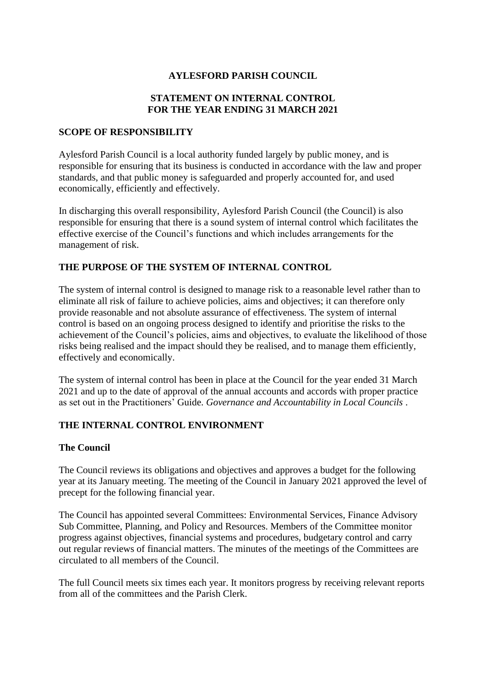### **AYLESFORD PARISH COUNCIL**

# **STATEMENT ON INTERNAL CONTROL FOR THE YEAR ENDING 31 MARCH 2021**

#### **SCOPE OF RESPONSIBILITY**

Aylesford Parish Council is a local authority funded largely by public money, and is responsible for ensuring that its business is conducted in accordance with the law and proper standards, and that public money is safeguarded and properly accounted for, and used economically, efficiently and effectively.

In discharging this overall responsibility, Aylesford Parish Council (the Council) is also responsible for ensuring that there is a sound system of internal control which facilitates the effective exercise of the Council's functions and which includes arrangements for the management of risk.

#### **THE PURPOSE OF THE SYSTEM OF INTERNAL CONTROL**

The system of internal control is designed to manage risk to a reasonable level rather than to eliminate all risk of failure to achieve policies, aims and objectives; it can therefore only provide reasonable and not absolute assurance of effectiveness. The system of internal control is based on an ongoing process designed to identify and prioritise the risks to the achievement of the Council's policies, aims and objectives, to evaluate the likelihood of those risks being realised and the impact should they be realised, and to manage them efficiently, effectively and economically.

The system of internal control has been in place at the Council for the year ended 31 March 2021 and up to the date of approval of the annual accounts and accords with proper practice as set out in the Practitioners' Guide. *Governance and Accountability in Local Councils* .

# **THE INTERNAL CONTROL ENVIRONMENT**

#### **The Council**

The Council reviews its obligations and objectives and approves a budget for the following year at its January meeting. The meeting of the Council in January 2021 approved the level of precept for the following financial year.

The Council has appointed several Committees: Environmental Services, Finance Advisory Sub Committee, Planning, and Policy and Resources. Members of the Committee monitor progress against objectives, financial systems and procedures, budgetary control and carry out regular reviews of financial matters. The minutes of the meetings of the Committees are circulated to all members of the Council.

The full Council meets six times each year. It monitors progress by receiving relevant reports from all of the committees and the Parish Clerk.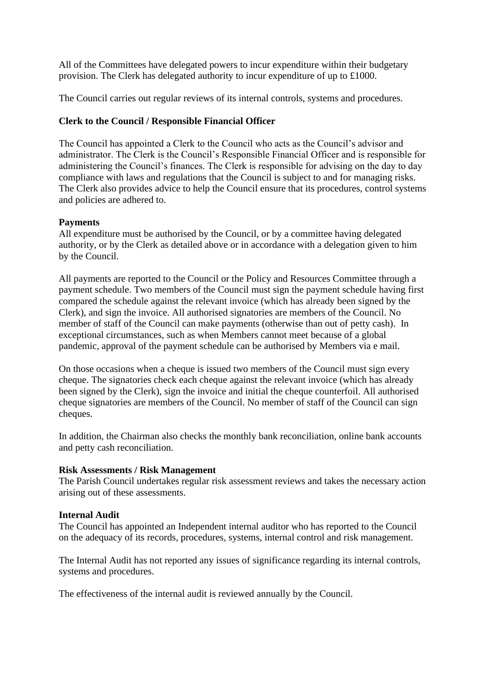All of the Committees have delegated powers to incur expenditure within their budgetary provision. The Clerk has delegated authority to incur expenditure of up to £1000.

The Council carries out regular reviews of its internal controls, systems and procedures.

# **Clerk to the Council / Responsible Financial Officer**

The Council has appointed a Clerk to the Council who acts as the Council's advisor and administrator. The Clerk is the Council's Responsible Financial Officer and is responsible for administering the Council's finances. The Clerk is responsible for advising on the day to day compliance with laws and regulations that the Council is subject to and for managing risks. The Clerk also provides advice to help the Council ensure that its procedures, control systems and policies are adhered to.

# **Payments**

All expenditure must be authorised by the Council, or by a committee having delegated authority, or by the Clerk as detailed above or in accordance with a delegation given to him by the Council.

All payments are reported to the Council or the Policy and Resources Committee through a payment schedule. Two members of the Council must sign the payment schedule having first compared the schedule against the relevant invoice (which has already been signed by the Clerk), and sign the invoice. All authorised signatories are members of the Council. No member of staff of the Council can make payments (otherwise than out of petty cash). In exceptional circumstances, such as when Members cannot meet because of a global pandemic, approval of the payment schedule can be authorised by Members via e mail.

On those occasions when a cheque is issued two members of the Council must sign every cheque. The signatories check each cheque against the relevant invoice (which has already been signed by the Clerk), sign the invoice and initial the cheque counterfoil. All authorised cheque signatories are members of the Council. No member of staff of the Council can sign cheques.

In addition, the Chairman also checks the monthly bank reconciliation, online bank accounts and petty cash reconciliation.

# **Risk Assessments / Risk Management**

The Parish Council undertakes regular risk assessment reviews and takes the necessary action arising out of these assessments.

# **Internal Audit**

The Council has appointed an Independent internal auditor who has reported to the Council on the adequacy of its records, procedures, systems, internal control and risk management.

The Internal Audit has not reported any issues of significance regarding its internal controls, systems and procedures.

The effectiveness of the internal audit is reviewed annually by the Council.